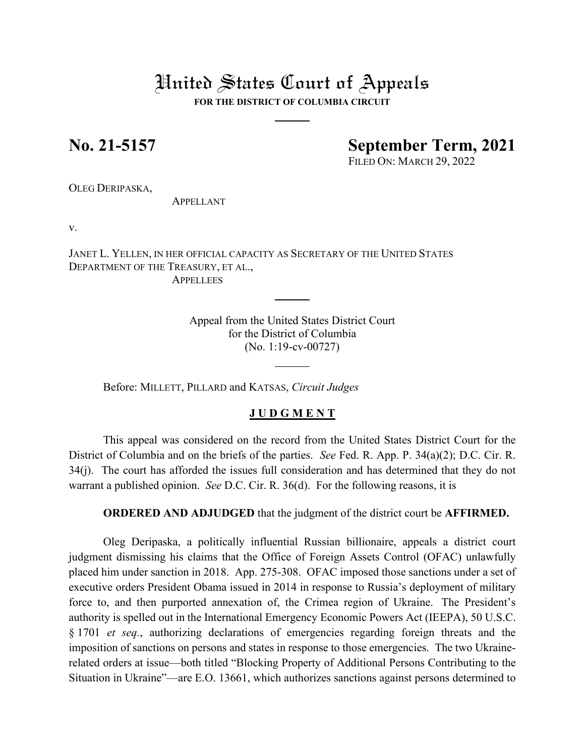# United States Court of Appeals

**FOR THE DISTRICT OF COLUMBIA CIRCUIT**

## **No. 21-5157 September Term, 2021**

FILED ON: MARCH 29, 2022

OLEG DERIPASKA,

APPELLANT

v.

JANET L. YELLEN, IN HER OFFICIAL CAPACITY AS SECRETARY OF THE UNITED STATES DEPARTMENT OF THE TREASURY, ET AL., **APPELLEES** 

> Appeal from the United States District Court for the District of Columbia (No. 1:19-cv-00727)

Before: MILLETT, PILLARD and KATSAS, *Circuit Judges*

### **J U D G M E N T**

This appeal was considered on the record from the United States District Court for the District of Columbia and on the briefs of the parties. *See* Fed. R. App. P. 34(a)(2); D.C. Cir. R. 34(j). The court has afforded the issues full consideration and has determined that they do not warrant a published opinion. *See* D.C. Cir. R. 36(d). For the following reasons, it is

**ORDERED AND ADJUDGED** that the judgment of the district court be **AFFIRMED.**

Oleg Deripaska, a politically influential Russian billionaire, appeals a district court judgment dismissing his claims that the Office of Foreign Assets Control (OFAC) unlawfully placed him under sanction in 2018. App. 275-308. OFAC imposed those sanctions under a set of executive orders President Obama issued in 2014 in response to Russia's deployment of military force to, and then purported annexation of, the Crimea region of Ukraine. The President's authority is spelled out in the International Emergency Economic Powers Act (IEEPA), 50 U.S.C. § 1701 *et seq.*, authorizing declarations of emergencies regarding foreign threats and the imposition of sanctions on persons and states in response to those emergencies. The two Ukrainerelated orders at issue—both titled "Blocking Property of Additional Persons Contributing to the Situation in Ukraine"—are E.O. 13661, which authorizes sanctions against persons determined to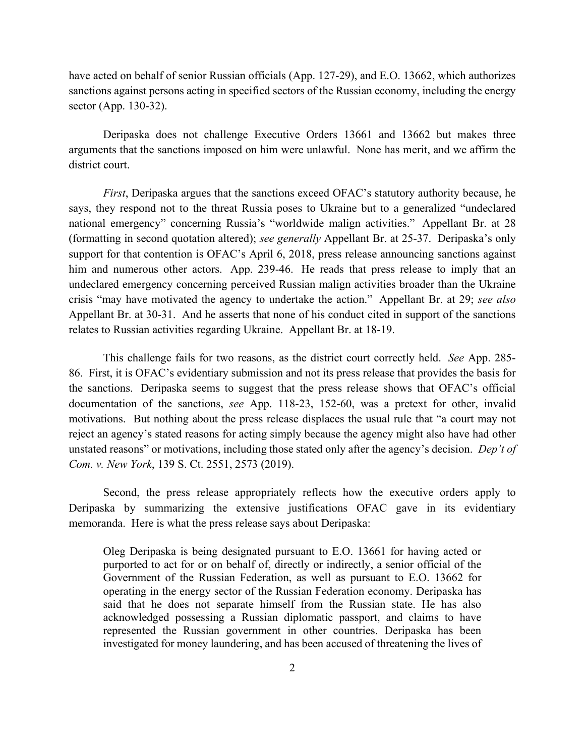have acted on behalf of senior Russian officials (App. 127-29), and E.O. 13662, which authorizes sanctions against persons acting in specified sectors of the Russian economy, including the energy sector (App. 130-32).

Deripaska does not challenge Executive Orders 13661 and 13662 but makes three arguments that the sanctions imposed on him were unlawful. None has merit, and we affirm the district court.

*First*, Deripaska argues that the sanctions exceed OFAC's statutory authority because, he says, they respond not to the threat Russia poses to Ukraine but to a generalized "undeclared national emergency" concerning Russia's "worldwide malign activities." Appellant Br. at 28 (formatting in second quotation altered); *see generally* Appellant Br. at 25-37. Deripaska's only support for that contention is OFAC's April 6, 2018, press release announcing sanctions against him and numerous other actors. App. 239-46. He reads that press release to imply that an undeclared emergency concerning perceived Russian malign activities broader than the Ukraine crisis "may have motivated the agency to undertake the action." Appellant Br. at 29; *see also*  Appellant Br. at 30-31. And he asserts that none of his conduct cited in support of the sanctions relates to Russian activities regarding Ukraine. Appellant Br. at 18-19.

This challenge fails for two reasons, as the district court correctly held. *See* App. 285- 86. First, it is OFAC's evidentiary submission and not its press release that provides the basis for the sanctions. Deripaska seems to suggest that the press release shows that OFAC's official documentation of the sanctions, *see* App. 118-23, 152-60, was a pretext for other, invalid motivations. But nothing about the press release displaces the usual rule that "a court may not reject an agency's stated reasons for acting simply because the agency might also have had other unstated reasons" or motivations, including those stated only after the agency's decision. *Dep't of Com. v. New York*, 139 S. Ct. 2551, 2573 (2019).

Second, the press release appropriately reflects how the executive orders apply to Deripaska by summarizing the extensive justifications OFAC gave in its evidentiary memoranda. Here is what the press release says about Deripaska:

Oleg Deripaska is being designated pursuant to E.O. 13661 for having acted or purported to act for or on behalf of, directly or indirectly, a senior official of the Government of the Russian Federation, as well as pursuant to E.O. 13662 for operating in the energy sector of the Russian Federation economy. Deripaska has said that he does not separate himself from the Russian state. He has also acknowledged possessing a Russian diplomatic passport, and claims to have represented the Russian government in other countries. Deripaska has been investigated for money laundering, and has been accused of threatening the lives of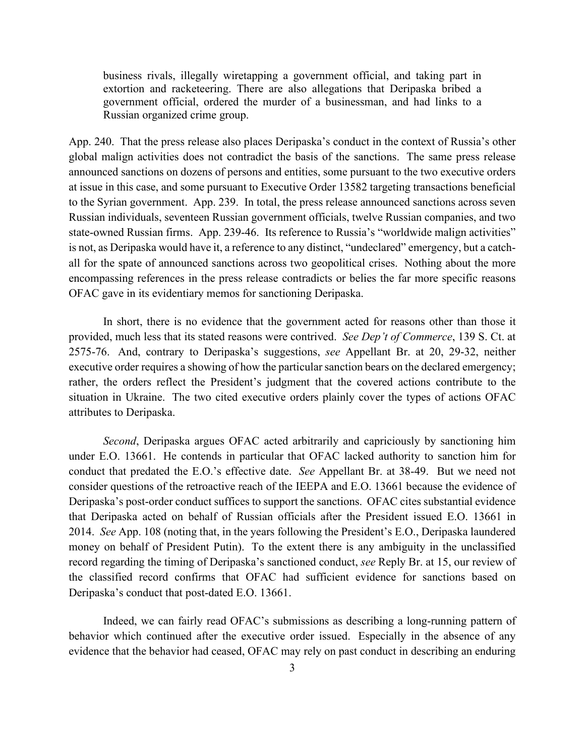business rivals, illegally wiretapping a government official, and taking part in extortion and racketeering. There are also allegations that Deripaska bribed a government official, ordered the murder of a businessman, and had links to a Russian organized crime group.

App. 240. That the press release also places Deripaska's conduct in the context of Russia's other global malign activities does not contradict the basis of the sanctions. The same press release announced sanctions on dozens of persons and entities, some pursuant to the two executive orders at issue in this case, and some pursuant to Executive Order 13582 targeting transactions beneficial to the Syrian government. App. 239. In total, the press release announced sanctions across seven Russian individuals, seventeen Russian government officials, twelve Russian companies, and two state-owned Russian firms. App. 239-46. Its reference to Russia's "worldwide malign activities" is not, as Deripaska would have it, a reference to any distinct, "undeclared" emergency, but a catchall for the spate of announced sanctions across two geopolitical crises. Nothing about the more encompassing references in the press release contradicts or belies the far more specific reasons OFAC gave in its evidentiary memos for sanctioning Deripaska.

In short, there is no evidence that the government acted for reasons other than those it provided, much less that its stated reasons were contrived. *See Dep't of Commerce*, 139 S. Ct. at 2575-76. And, contrary to Deripaska's suggestions, *see* Appellant Br. at 20, 29-32, neither executive order requires a showing of how the particular sanction bears on the declared emergency; rather, the orders reflect the President's judgment that the covered actions contribute to the situation in Ukraine. The two cited executive orders plainly cover the types of actions OFAC attributes to Deripaska.

*Second*, Deripaska argues OFAC acted arbitrarily and capriciously by sanctioning him under E.O. 13661. He contends in particular that OFAC lacked authority to sanction him for conduct that predated the E.O.'s effective date. *See* Appellant Br. at 38-49. But we need not consider questions of the retroactive reach of the IEEPA and E.O. 13661 because the evidence of Deripaska's post-order conduct suffices to support the sanctions. OFAC cites substantial evidence that Deripaska acted on behalf of Russian officials after the President issued E.O. 13661 in 2014. *See* App. 108 (noting that, in the years following the President's E.O., Deripaska laundered money on behalf of President Putin). To the extent there is any ambiguity in the unclassified record regarding the timing of Deripaska's sanctioned conduct, *see* Reply Br. at 15, our review of the classified record confirms that OFAC had sufficient evidence for sanctions based on Deripaska's conduct that post-dated E.O. 13661.

Indeed, we can fairly read OFAC's submissions as describing a long-running pattern of behavior which continued after the executive order issued. Especially in the absence of any evidence that the behavior had ceased, OFAC may rely on past conduct in describing an enduring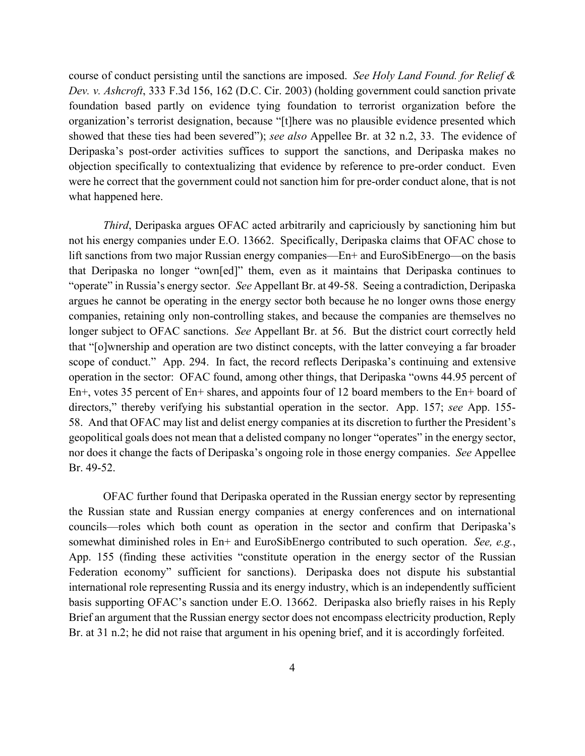course of conduct persisting until the sanctions are imposed. *See Holy Land Found. for Relief & Dev. v. Ashcroft*, 333 F.3d 156, 162 (D.C. Cir. 2003) (holding government could sanction private foundation based partly on evidence tying foundation to terrorist organization before the organization's terrorist designation, because "[t]here was no plausible evidence presented which showed that these ties had been severed"); *see also* Appellee Br. at 32 n.2, 33. The evidence of Deripaska's post-order activities suffices to support the sanctions, and Deripaska makes no objection specifically to contextualizing that evidence by reference to pre-order conduct. Even were he correct that the government could not sanction him for pre-order conduct alone, that is not what happened here.

*Third*, Deripaska argues OFAC acted arbitrarily and capriciously by sanctioning him but not his energy companies under E.O. 13662. Specifically, Deripaska claims that OFAC chose to lift sanctions from two major Russian energy companies—En+ and EuroSibEnergo—on the basis that Deripaska no longer "own[ed]" them, even as it maintains that Deripaska continues to "operate" in Russia's energy sector. *See* Appellant Br. at 49-58. Seeing a contradiction, Deripaska argues he cannot be operating in the energy sector both because he no longer owns those energy companies, retaining only non-controlling stakes, and because the companies are themselves no longer subject to OFAC sanctions. *See* Appellant Br. at 56. But the district court correctly held that "[o]wnership and operation are two distinct concepts, with the latter conveying a far broader scope of conduct." App. 294. In fact, the record reflects Deripaska's continuing and extensive operation in the sector: OFAC found, among other things, that Deripaska "owns 44.95 percent of En+, votes 35 percent of En+ shares, and appoints four of 12 board members to the En+ board of directors," thereby verifying his substantial operation in the sector. App. 157; *see* App. 155- 58. And that OFAC may list and delist energy companies at its discretion to further the President's geopolitical goals does not mean that a delisted company no longer "operates" in the energy sector, nor does it change the facts of Deripaska's ongoing role in those energy companies. *See* Appellee Br. 49-52.

OFAC further found that Deripaska operated in the Russian energy sector by representing the Russian state and Russian energy companies at energy conferences and on international councils—roles which both count as operation in the sector and confirm that Deripaska's somewhat diminished roles in En+ and EuroSibEnergo contributed to such operation. *See, e.g.*, App. 155 (finding these activities "constitute operation in the energy sector of the Russian Federation economy" sufficient for sanctions). Deripaska does not dispute his substantial international role representing Russia and its energy industry, which is an independently sufficient basis supporting OFAC's sanction under E.O. 13662. Deripaska also briefly raises in his Reply Brief an argument that the Russian energy sector does not encompass electricity production, Reply Br. at 31 n.2; he did not raise that argument in his opening brief, and it is accordingly forfeited.